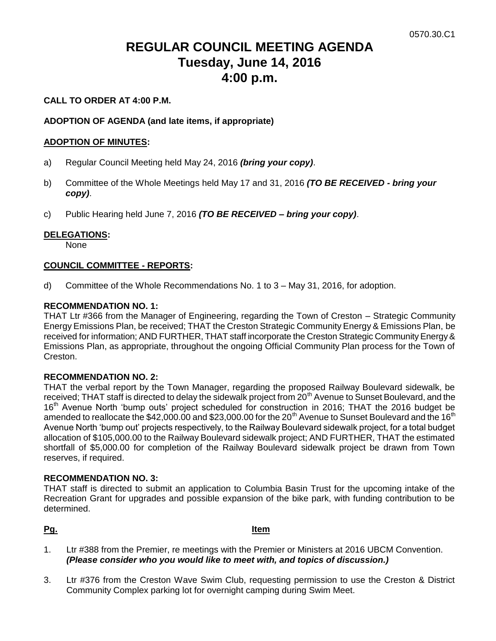# **REGULAR COUNCIL MEETING AGENDA Tuesday, June 14, 2016 4:00 p.m.**

# **CALL TO ORDER AT 4:00 P.M.**

# **ADOPTION OF AGENDA (and late items, if appropriate)**

### **ADOPTION OF MINUTES:**

- a) Regular Council Meeting held May 24, 2016 *(bring your copy)*.
- b) Committee of the Whole Meetings held May 17 and 31, 2016 *(TO BE RECEIVED - bring your copy)*.
- c) Public Hearing held June 7, 2016 *(TO BE RECEIVED – bring your copy)*.

### **DELEGATIONS:**

None

### **COUNCIL COMMITTEE - REPORTS:**

d) Committee of the Whole Recommendations No. 1 to 3 – May 31, 2016, for adoption.

### **RECOMMENDATION NO. 1:**

THAT Ltr #366 from the Manager of Engineering, regarding the Town of Creston – Strategic Community Energy Emissions Plan, be received; THAT the Creston Strategic Community Energy & Emissions Plan, be received for information; AND FURTHER, THAT staff incorporate the Creston Strategic Community Energy & Emissions Plan, as appropriate, throughout the ongoing Official Community Plan process for the Town of Creston.

### **RECOMMENDATION NO. 2:**

THAT the verbal report by the Town Manager, regarding the proposed Railway Boulevard sidewalk, be received; THAT staff is directed to delay the sidewalk project from 20<sup>th</sup> Avenue to Sunset Boulevard, and the 16<sup>th</sup> Avenue North 'bump outs' project scheduled for construction in 2016; THAT the 2016 budget be amended to reallocate the \$42,000.00 and \$23,000.00 for the 20<sup>th</sup> Avenue to Sunset Boulevard and the 16<sup>th</sup> Avenue North 'bump out' projects respectively, to the Railway Boulevard sidewalk project, for a total budget allocation of \$105,000.00 to the Railway Boulevard sidewalk project; AND FURTHER, THAT the estimated shortfall of \$5,000.00 for completion of the Railway Boulevard sidewalk project be drawn from Town reserves, if required.

### **RECOMMENDATION NO. 3:**

THAT staff is directed to submit an application to Columbia Basin Trust for the upcoming intake of the Recreation Grant for upgrades and possible expansion of the bike park, with funding contribution to be determined.

### **Pg. Item**

- 1. Ltr #388 from the Premier, re meetings with the Premier or Ministers at 2016 UBCM Convention. *(Please consider who you would like to meet with, and topics of discussion.)*
- 3. Ltr #376 from the Creston Wave Swim Club, requesting permission to use the Creston & District Community Complex parking lot for overnight camping during Swim Meet.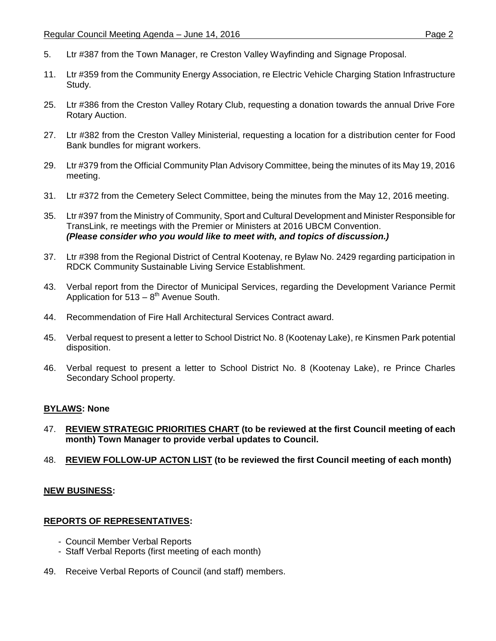- 5. Ltr #387 from the Town Manager, re Creston Valley Wayfinding and Signage Proposal.
- 11. Ltr #359 from the Community Energy Association, re Electric Vehicle Charging Station Infrastructure Study.
- 25. Ltr #386 from the Creston Valley Rotary Club, requesting a donation towards the annual Drive Fore Rotary Auction.
- 27. Ltr #382 from the Creston Valley Ministerial, requesting a location for a distribution center for Food Bank bundles for migrant workers.
- 29. Ltr #379 from the Official Community Plan Advisory Committee, being the minutes of its May 19, 2016 meeting.
- 31. Ltr #372 from the Cemetery Select Committee, being the minutes from the May 12, 2016 meeting.
- 35. Ltr #397 from the Ministry of Community, Sport and Cultural Development and Minister Responsible for TransLink, re meetings with the Premier or Ministers at 2016 UBCM Convention. *(Please consider who you would like to meet with, and topics of discussion.)*
- 37. Ltr #398 from the Regional District of Central Kootenay, re Bylaw No. 2429 regarding participation in RDCK Community Sustainable Living Service Establishment.
- 43. Verbal report from the Director of Municipal Services, regarding the Development Variance Permit Application for  $513 - 8$ <sup>th</sup> Avenue South.
- 44. Recommendation of Fire Hall Architectural Services Contract award.
- 45. Verbal request to present a letter to School District No. 8 (Kootenay Lake), re Kinsmen Park potential disposition.
- 46. Verbal request to present a letter to School District No. 8 (Kootenay Lake), re Prince Charles Secondary School property.

### **BYLAWS: None**

- 47. **REVIEW STRATEGIC PRIORITIES CHART (to be reviewed at the first Council meeting of each month) Town Manager to provide verbal updates to Council.**
- 48. **REVIEW FOLLOW-UP ACTON LIST (to be reviewed the first Council meeting of each month)**

### **NEW BUSINESS:**

### **REPORTS OF REPRESENTATIVES:**

- Council Member Verbal Reports
- Staff Verbal Reports (first meeting of each month)
- 49. Receive Verbal Reports of Council (and staff) members.